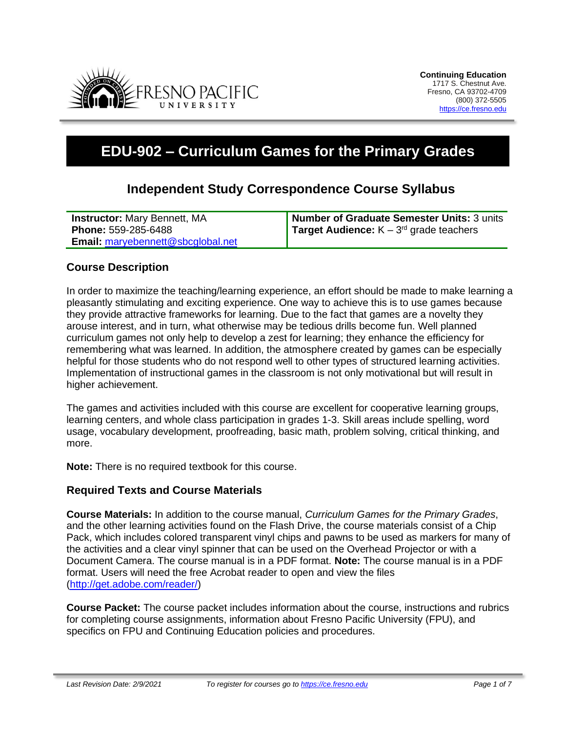

# **EDU-902 – Curriculum Games for the Primary Grades**

# **Independent Study Correspondence Course Syllabus**

| <b>Instructor:</b> Mary Bennett, MA      | Number of Graduate Semester Units: 3 units          |
|------------------------------------------|-----------------------------------------------------|
| Phone: 559-285-6488                      | <b>Target Audience:</b> $K - 3^{rd}$ grade teachers |
| <b>Email:</b> maryebennett@sbcglobal.net |                                                     |

# **Course Description**

In order to maximize the teaching/learning experience, an effort should be made to make learning a pleasantly stimulating and exciting experience. One way to achieve this is to use games because they provide attractive frameworks for learning. Due to the fact that games are a novelty they arouse interest, and in turn, what otherwise may be tedious drills become fun. Well planned curriculum games not only help to develop a zest for learning; they enhance the efficiency for remembering what was learned. In addition, the atmosphere created by games can be especially helpful for those students who do not respond well to other types of structured learning activities. Implementation of instructional games in the classroom is not only motivational but will result in higher achievement.

The games and activities included with this course are excellent for cooperative learning groups, learning centers, and whole class participation in grades 1-3. Skill areas include spelling, word usage, vocabulary development, proofreading, basic math, problem solving, critical thinking, and more.

**Note:** There is no required textbook for this course.

#### **Required Texts and Course Materials**

**Course Materials:** In addition to the course manual, *Curriculum Games for the Primary Grades*, and the other learning activities found on the Flash Drive, the course materials consist of a Chip Pack, which includes colored transparent vinyl chips and pawns to be used as markers for many of the activities and a clear vinyl spinner that can be used on the Overhead Projector or with a Document Camera. The course manual is in a PDF format. **Note:** The course manual is in a PDF format. Users will need the free Acrobat reader to open and view the files [\(http://get.adobe.com/reader/\)](http://get.adobe.com/reader/)

**Course Packet:** The course packet includes information about the course, instructions and rubrics for completing course assignments, information about Fresno Pacific University (FPU), and specifics on FPU and Continuing Education policies and procedures.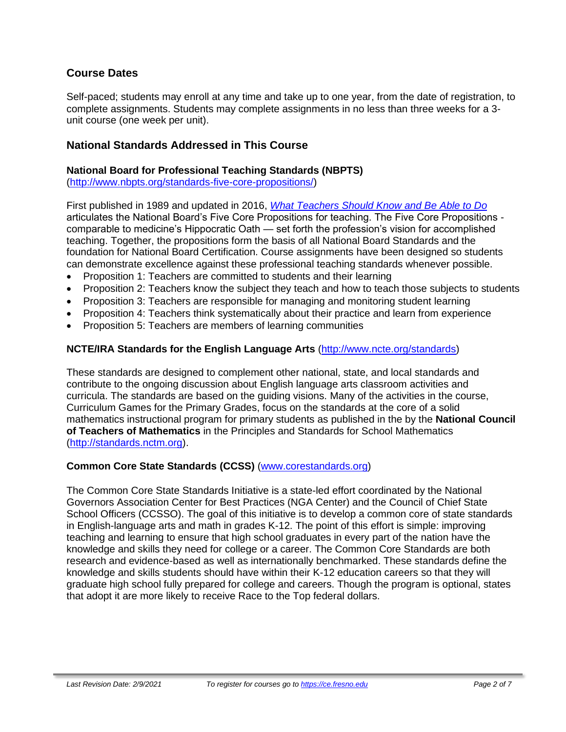# **Course Dates**

Self-paced; students may enroll at any time and take up to one year, from the date of registration, to complete assignments. Students may complete assignments in no less than three weeks for a 3 unit course (one week per unit).

## **National Standards Addressed in This Course**

#### **National Board for Professional Teaching Standards (NBPTS)**

[\(http://www.nbpts.org/standards-five-core-propositions/\)](http://www.nbpts.org/standards-five-core-propositions/)

First published in 1989 and updated in 2016, *[What Teachers Should Know and Be Able to Do](http://www.accomplishedteacher.org/)* articulates the National Board's Five Core Propositions for teaching. The Five Core Propositions comparable to medicine's Hippocratic Oath — set forth the profession's vision for accomplished teaching. Together, the propositions form the basis of all National Board Standards and the foundation for National Board Certification. Course assignments have been designed so students can demonstrate excellence against these professional teaching standards whenever possible.

- Proposition 1: Teachers are committed to students and their learning
- Proposition 2: Teachers know the subject they teach and how to teach those subjects to students
- Proposition 3: Teachers are responsible for managing and monitoring student learning
- Proposition 4: Teachers think systematically about their practice and learn from experience
- Proposition 5: Teachers are members of learning communities

#### **NCTE/IRA Standards for the English Language Arts** [\(http://www.ncte.org/standards\)](http://www.ncte.org/standards)

These standards are designed to complement other national, state, and local standards and contribute to the ongoing discussion about English language arts classroom activities and curricula. The standards are based on the guiding visions. Many of the activities in the course, Curriculum Games for the Primary Grades, focus on the standards at the core of a solid mathematics instructional program for primary students as published in the by the **National Council of Teachers of Mathematics** in the Principles and Standards for School Mathematics [\(http://standards.nctm.org\)](http://standards.nctm.org/).

#### **Common Core State Standards (CCSS)** [\(www.corestandards.org\)](http://www.corestandards.org/)

The Common Core State Standards Initiative is a state-led effort coordinated by the National Governors Association Center for Best Practices (NGA Center) and the Council of Chief State School Officers (CCSSO). The goal of this initiative is to develop a common core of state standards in English-language arts and math in grades K-12. The point of this effort is simple: improving teaching and learning to ensure that high school graduates in every part of the nation have the knowledge and skills they need for college or a career. The Common Core Standards are both research and evidence-based as well as internationally benchmarked. These standards define the knowledge and skills students should have within their K-12 education careers so that they will graduate high school fully prepared for college and careers. Though the program is optional, states that adopt it are more likely to receive Race to the Top federal dollars.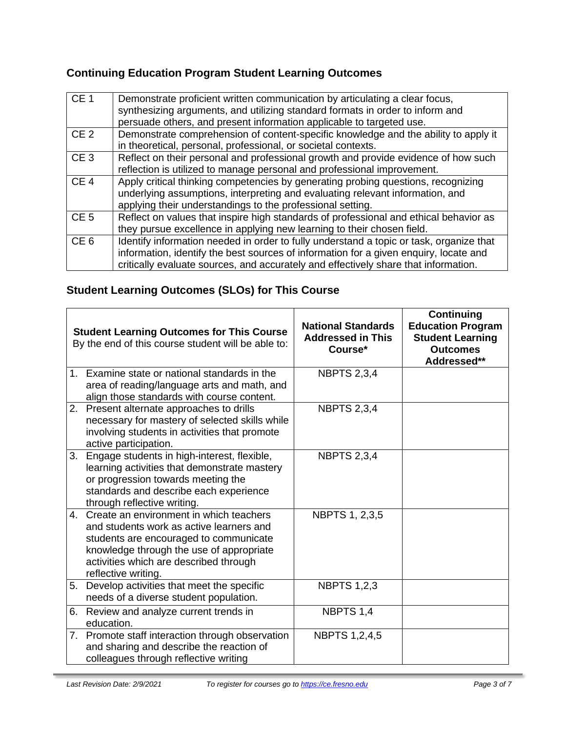# **Continuing Education Program Student Learning Outcomes**

| CE <sub>1</sub> | Demonstrate proficient written communication by articulating a clear focus,<br>synthesizing arguments, and utilizing standard formats in order to inform and<br>persuade others, and present information applicable to targeted use.                                    |
|-----------------|-------------------------------------------------------------------------------------------------------------------------------------------------------------------------------------------------------------------------------------------------------------------------|
| CE <sub>2</sub> | Demonstrate comprehension of content-specific knowledge and the ability to apply it<br>in theoretical, personal, professional, or societal contexts.                                                                                                                    |
| CE <sub>3</sub> | Reflect on their personal and professional growth and provide evidence of how such<br>reflection is utilized to manage personal and professional improvement.                                                                                                           |
| CE <sub>4</sub> | Apply critical thinking competencies by generating probing questions, recognizing<br>underlying assumptions, interpreting and evaluating relevant information, and<br>applying their understandings to the professional setting.                                        |
| CE <sub>5</sub> | Reflect on values that inspire high standards of professional and ethical behavior as<br>they pursue excellence in applying new learning to their chosen field.                                                                                                         |
| CE <sub>6</sub> | Identify information needed in order to fully understand a topic or task, organize that<br>information, identify the best sources of information for a given enquiry, locate and<br>critically evaluate sources, and accurately and effectively share that information. |

# **Student Learning Outcomes (SLOs) for This Course**

|             | <b>Student Learning Outcomes for This Course</b><br>By the end of this course student will be able to:                                                                                                                                     | <b>National Standards</b><br><b>Addressed in This</b><br>Course* | <b>Continuing</b><br><b>Education Program</b><br><b>Student Learning</b><br><b>Outcomes</b><br>Addressed** |
|-------------|--------------------------------------------------------------------------------------------------------------------------------------------------------------------------------------------------------------------------------------------|------------------------------------------------------------------|------------------------------------------------------------------------------------------------------------|
|             | 1. Examine state or national standards in the<br>area of reading/language arts and math, and<br>align those standards with course content.                                                                                                 | <b>NBPTS 2,3,4</b>                                               |                                                                                                            |
|             | 2. Present alternate approaches to drills<br>necessary for mastery of selected skills while<br>involving students in activities that promote<br>active participation.                                                                      | <b>NBPTS 2,3,4</b>                                               |                                                                                                            |
| 3.          | Engage students in high-interest, flexible,<br>learning activities that demonstrate mastery<br>or progression towards meeting the<br>standards and describe each experience<br>through reflective writing.                                 | <b>NBPTS 2,3,4</b>                                               |                                                                                                            |
| $4_{\cdot}$ | Create an environment in which teachers<br>and students work as active learners and<br>students are encouraged to communicate<br>knowledge through the use of appropriate<br>activities which are described through<br>reflective writing. | NBPTS 1, 2,3,5                                                   |                                                                                                            |
| 5.          | Develop activities that meet the specific<br>needs of a diverse student population.                                                                                                                                                        | <b>NBPTS 1,2,3</b>                                               |                                                                                                            |
| 6.          | Review and analyze current trends in<br>education.                                                                                                                                                                                         | NBPTS 1,4                                                        |                                                                                                            |
|             | 7. Promote staff interaction through observation<br>and sharing and describe the reaction of<br>colleagues through reflective writing                                                                                                      | <b>NBPTS 1,2,4,5</b>                                             |                                                                                                            |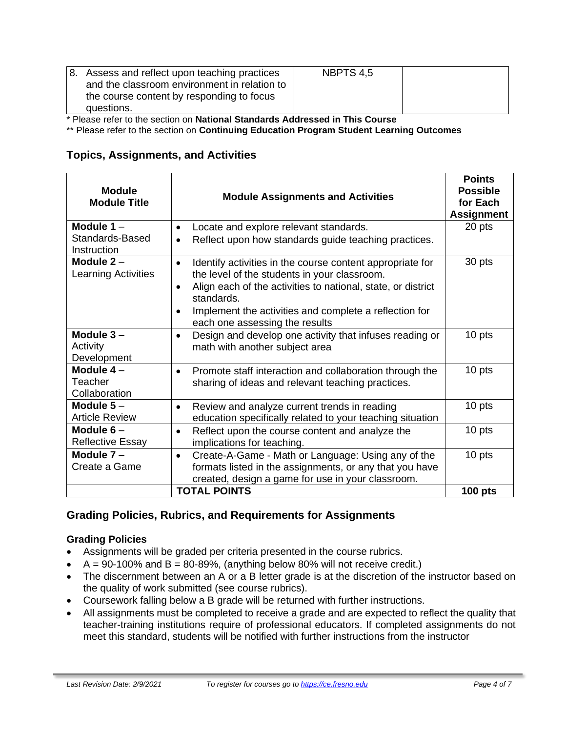| and the classroom environment in relation to<br>the course content by responding to focus<br>questions. |
|---------------------------------------------------------------------------------------------------------|
|---------------------------------------------------------------------------------------------------------|

\* Please refer to the section on **National Standards Addressed in This Course**

\*\* Please refer to the section on **Continuing Education Program Student Learning Outcomes**

# **Topics, Assignments, and Activities**

| <b>Module</b><br><b>Module Title</b>                                                                                                                                                                                                                                                                                                                                    | <b>Module Assignments and Activities</b>                                                                                                                                        | <b>Points</b><br><b>Possible</b><br>for Each<br><b>Assignment</b> |
|-------------------------------------------------------------------------------------------------------------------------------------------------------------------------------------------------------------------------------------------------------------------------------------------------------------------------------------------------------------------------|---------------------------------------------------------------------------------------------------------------------------------------------------------------------------------|-------------------------------------------------------------------|
| Module $1 -$<br>Standards-Based<br>Instruction                                                                                                                                                                                                                                                                                                                          | Locate and explore relevant standards.<br>$\bullet$<br>Reflect upon how standards guide teaching practices.                                                                     | 20 pts                                                            |
| Module $2-$<br>Identify activities in the course content appropriate for<br>$\bullet$<br><b>Learning Activities</b><br>the level of the students in your classroom.<br>Align each of the activities to national, state, or district<br>$\bullet$<br>standards.<br>Implement the activities and complete a reflection for<br>$\bullet$<br>each one assessing the results |                                                                                                                                                                                 | 30 pts                                                            |
| Module $3 -$<br>Activity<br>Development                                                                                                                                                                                                                                                                                                                                 | Design and develop one activity that infuses reading or<br>$\bullet$<br>math with another subject area                                                                          | 10 pts                                                            |
| Module $4-$<br>Promote staff interaction and collaboration through the<br>$\bullet$<br>Teacher<br>sharing of ideas and relevant teaching practices.<br>Collaboration                                                                                                                                                                                                    |                                                                                                                                                                                 | 10 pts                                                            |
| Module $5-$<br>Review and analyze current trends in reading<br>$\bullet$<br><b>Article Review</b><br>education specifically related to your teaching situation                                                                                                                                                                                                          |                                                                                                                                                                                 | 10 pts                                                            |
| Module $6-$<br>Reflect upon the course content and analyze the<br>٠<br><b>Reflective Essay</b><br>implications for teaching.                                                                                                                                                                                                                                            |                                                                                                                                                                                 | 10 pts                                                            |
| Module $7 -$<br>Create a Game                                                                                                                                                                                                                                                                                                                                           | Create-A-Game - Math or Language: Using any of the<br>$\bullet$<br>formats listed in the assignments, or any that you have<br>created, design a game for use in your classroom. | 10 pts                                                            |
| <b>TOTAL POINTS</b>                                                                                                                                                                                                                                                                                                                                                     |                                                                                                                                                                                 | <b>100 pts</b>                                                    |

# **Grading Policies, Rubrics, and Requirements for Assignments**

#### **Grading Policies**

- Assignments will be graded per criteria presented in the course rubrics.
- $A = 90-100\%$  and  $B = 80-89\%$ , (anything below 80% will not receive credit.)
- The discernment between an A or a B letter grade is at the discretion of the instructor based on the quality of work submitted (see course rubrics).
- Coursework falling below a B grade will be returned with further instructions.
- All assignments must be completed to receive a grade and are expected to reflect the quality that teacher-training institutions require of professional educators. If completed assignments do not meet this standard, students will be notified with further instructions from the instructor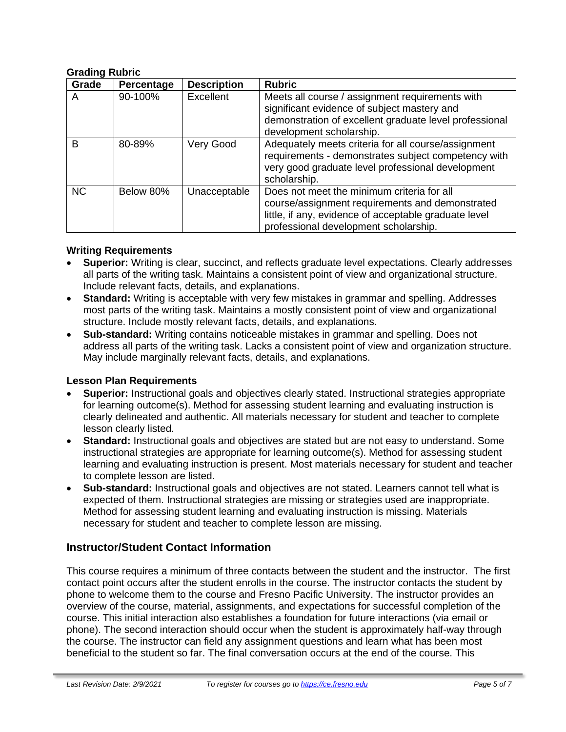#### **Grading Rubric**

| Grade     | Percentage | <b>Description</b> | <b>Rubric</b>                                                                                                                                                                                   |
|-----------|------------|--------------------|-------------------------------------------------------------------------------------------------------------------------------------------------------------------------------------------------|
| A         | 90-100%    | Excellent          | Meets all course / assignment requirements with<br>significant evidence of subject mastery and<br>demonstration of excellent graduate level professional<br>development scholarship.            |
| B         | 80-89%     | Very Good          | Adequately meets criteria for all course/assignment<br>requirements - demonstrates subject competency with<br>very good graduate level professional development<br>scholarship.                 |
| <b>NC</b> | Below 80%  | Unacceptable       | Does not meet the minimum criteria for all<br>course/assignment requirements and demonstrated<br>little, if any, evidence of acceptable graduate level<br>professional development scholarship. |

#### **Writing Requirements**

- **Superior:** Writing is clear, succinct, and reflects graduate level expectations. Clearly addresses all parts of the writing task. Maintains a consistent point of view and organizational structure. Include relevant facts, details, and explanations.
- **Standard:** Writing is acceptable with very few mistakes in grammar and spelling. Addresses most parts of the writing task. Maintains a mostly consistent point of view and organizational structure. Include mostly relevant facts, details, and explanations.
- **Sub-standard:** Writing contains noticeable mistakes in grammar and spelling. Does not address all parts of the writing task. Lacks a consistent point of view and organization structure. May include marginally relevant facts, details, and explanations.

#### **Lesson Plan Requirements**

- **Superior:** Instructional goals and objectives clearly stated. Instructional strategies appropriate for learning outcome(s). Method for assessing student learning and evaluating instruction is clearly delineated and authentic. All materials necessary for student and teacher to complete lesson clearly listed.
- **Standard:** Instructional goals and objectives are stated but are not easy to understand. Some instructional strategies are appropriate for learning outcome(s). Method for assessing student learning and evaluating instruction is present. Most materials necessary for student and teacher to complete lesson are listed.
- **Sub-standard:** Instructional goals and objectives are not stated. Learners cannot tell what is expected of them. Instructional strategies are missing or strategies used are inappropriate. Method for assessing student learning and evaluating instruction is missing. Materials necessary for student and teacher to complete lesson are missing.

#### **Instructor/Student Contact Information**

This course requires a minimum of three contacts between the student and the instructor. The first contact point occurs after the student enrolls in the course. The instructor contacts the student by phone to welcome them to the course and Fresno Pacific University. The instructor provides an overview of the course, material, assignments, and expectations for successful completion of the course. This initial interaction also establishes a foundation for future interactions (via email or phone). The second interaction should occur when the student is approximately half-way through the course. The instructor can field any assignment questions and learn what has been most beneficial to the student so far. The final conversation occurs at the end of the course. This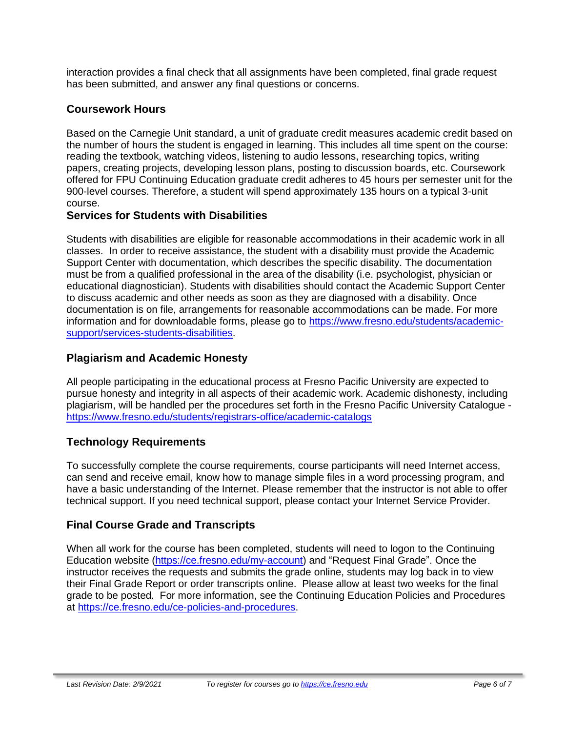interaction provides a final check that all assignments have been completed, final grade request has been submitted, and answer any final questions or concerns.

# **Coursework Hours**

Based on the Carnegie Unit standard, a unit of graduate credit measures academic credit based on the number of hours the student is engaged in learning. This includes all time spent on the course: reading the textbook, watching videos, listening to audio lessons, researching topics, writing papers, creating projects, developing lesson plans, posting to discussion boards, etc. Coursework offered for FPU Continuing Education graduate credit adheres to 45 hours per semester unit for the 900-level courses. Therefore, a student will spend approximately 135 hours on a typical 3-unit course.

### **Services for Students with Disabilities**

Students with disabilities are eligible for reasonable accommodations in their academic work in all classes. In order to receive assistance, the student with a disability must provide the Academic Support Center with documentation, which describes the specific disability. The documentation must be from a qualified professional in the area of the disability (i.e. psychologist, physician or educational diagnostician). Students with disabilities should contact the Academic Support Center to discuss academic and other needs as soon as they are diagnosed with a disability. Once documentation is on file, arrangements for reasonable accommodations can be made. For more information and for downloadable forms, please go to [https://www.fresno.edu/students/academic](https://www.fresno.edu/students/academic-support/services-students-disabilities)[support/services-students-disabilities.](https://www.fresno.edu/students/academic-support/services-students-disabilities)

# **Plagiarism and Academic Honesty**

All people participating in the educational process at Fresno Pacific University are expected to pursue honesty and integrity in all aspects of their academic work. Academic dishonesty, including plagiarism, will be handled per the procedures set forth in the Fresno Pacific University Catalogue <https://www.fresno.edu/students/registrars-office/academic-catalogs>

# **Technology Requirements**

To successfully complete the course requirements, course participants will need Internet access, can send and receive email, know how to manage simple files in a word processing program, and have a basic understanding of the Internet. Please remember that the instructor is not able to offer technical support. If you need technical support, please contact your Internet Service Provider.

# **Final Course Grade and Transcripts**

When all work for the course has been completed, students will need to logon to the Continuing Education website [\(https://ce.fresno.edu/my-account\)](https://ce.fresno.edu/my-account) and "Request Final Grade". Once the instructor receives the requests and submits the grade online, students may log back in to view their Final Grade Report or order transcripts online. Please allow at least two weeks for the final grade to be posted. For more information, see the Continuing Education Policies and Procedures at [https://ce.fresno.edu/ce-policies-and-procedures.](https://ce.fresno.edu/ce-policies-and-procedures)